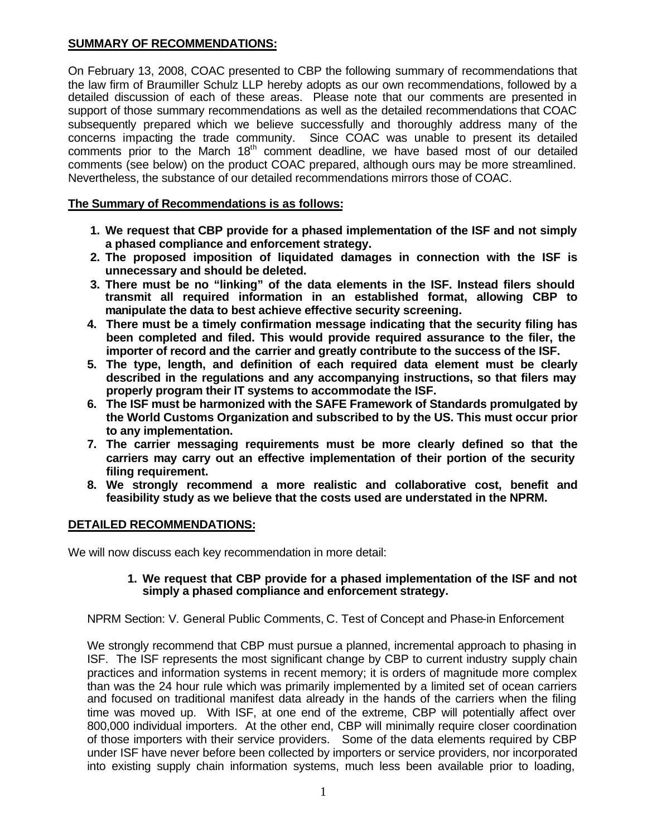# **SUMMARY OF RECOMMENDATIONS:**

On February 13, 2008, COAC presented to CBP the following summary of recommendations that the law firm of Braumiller Schulz LLP hereby adopts as our own recommendations, followed by a detailed discussion of each of these areas. Please note that our comments are presented in support of those summary recommendations as well as the detailed recommendations that COAC subsequently prepared which we believe successfully and thoroughly address many of the concerns impacting the trade community. Since COAC was unable to present its detailed comments prior to the March 18<sup>th</sup> comment deadline, we have based most of our detailed comments (see below) on the product COAC prepared, although ours may be more streamlined. Nevertheless, the substance of our detailed recommendations mirrors those of COAC.

## **The Summary of Recommendations is as follows:**

- **1. We request that CBP provide for a phased implementation of the ISF and not simply a phased compliance and enforcement strategy.**
- **2. The proposed imposition of liquidated damages in connection with the ISF is unnecessary and should be deleted.**
- **3. There must be no "linking" of the data elements in the ISF. Instead filers should transmit all required information in an established format, allowing CBP to manipulate the data to best achieve effective security screening.**
- **4. There must be a timely confirmation message indicating that the security filing has been completed and filed. This would provide required assurance to the filer, the importer of record and the carrier and greatly contribute to the success of the ISF.**
- **5. The type, length, and definition of each required data element must be clearly described in the regulations and any accompanying instructions, so that filers may properly program their IT systems to accommodate the ISF.**
- **6. The ISF must be harmonized with the SAFE Framework of Standards promulgated by the World Customs Organization and subscribed to by the US. This must occur prior to any implementation.**
- **7. The carrier messaging requirements must be more clearly defined so that the carriers may carry out an effective implementation of their portion of the security filing requirement.**
- **8. We strongly recommend a more realistic and collaborative cost, benefit and feasibility study as we believe that the costs used are understated in the NPRM.**

## **DETAILED RECOMMENDATIONS:**

We will now discuss each key recommendation in more detail:

#### **1. We request that CBP provide for a phased implementation of the ISF and not simply a phased compliance and enforcement strategy.**

NPRM Section: V. General Public Comments, C. Test of Concept and Phase-in Enforcement

We strongly recommend that CBP must pursue a planned, incremental approach to phasing in ISF. The ISF represents the most significant change by CBP to current industry supply chain practices and information systems in recent memory; it is orders of magnitude more complex than was the 24 hour rule which was primarily implemented by a limited set of ocean carriers and focused on traditional manifest data already in the hands of the carriers when the filing time was moved up. With ISF, at one end of the extreme, CBP will potentially affect over 800,000 individual importers. At the other end, CBP will minimally require closer coordination of those importers with their service providers. Some of the data elements required by CBP under ISF have never before been collected by importers or service providers, nor incorporated into existing supply chain information systems, much less been available prior to loading,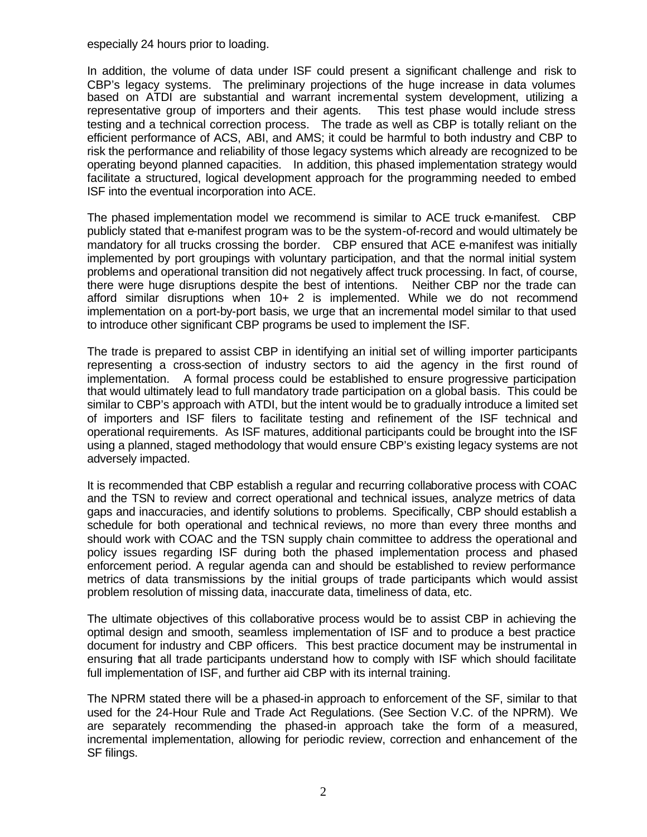especially 24 hours prior to loading.

In addition, the volume of data under ISF could present a significant challenge and risk to CBP's legacy systems. The preliminary projections of the huge increase in data volumes based on ATDI are substantial and warrant incremental system development, utilizing a representative group of importers and their agents. This test phase would include stress testing and a technical correction process. The trade as well as CBP is totally reliant on the efficient performance of ACS, ABI, and AMS; it could be harmful to both industry and CBP to risk the performance and reliability of those legacy systems which already are recognized to be operating beyond planned capacities. In addition, this phased implementation strategy would facilitate a structured, logical development approach for the programming needed to embed ISF into the eventual incorporation into ACE.

The phased implementation model we recommend is similar to ACE truck e-manifest. CBP publicly stated that e-manifest program was to be the system-of-record and would ultimately be mandatory for all trucks crossing the border. CBP ensured that ACE e-manifest was initially implemented by port groupings with voluntary participation, and that the normal initial system problems and operational transition did not negatively affect truck processing. In fact, of course, there were huge disruptions despite the best of intentions. Neither CBP nor the trade can afford similar disruptions when 10+ 2 is implemented. While we do not recommend implementation on a port-by-port basis, we urge that an incremental model similar to that used to introduce other significant CBP programs be used to implement the ISF.

The trade is prepared to assist CBP in identifying an initial set of willing importer participants representing a cross-section of industry sectors to aid the agency in the first round of implementation. A formal process could be established to ensure progressive participation that would ultimately lead to full mandatory trade participation on a global basis. This could be similar to CBP's approach with ATDI, but the intent would be to gradually introduce a limited set of importers and ISF filers to facilitate testing and refinement of the ISF technical and operational requirements. As ISF matures, additional participants could be brought into the ISF using a planned, staged methodology that would ensure CBP's existing legacy systems are not adversely impacted.

It is recommended that CBP establish a regular and recurring collaborative process with COAC and the TSN to review and correct operational and technical issues, analyze metrics of data gaps and inaccuracies, and identify solutions to problems. Specifically, CBP should establish a schedule for both operational and technical reviews, no more than every three months and should work with COAC and the TSN supply chain committee to address the operational and policy issues regarding ISF during both the phased implementation process and phased enforcement period. A regular agenda can and should be established to review performance metrics of data transmissions by the initial groups of trade participants which would assist problem resolution of missing data, inaccurate data, timeliness of data, etc.

The ultimate objectives of this collaborative process would be to assist CBP in achieving the optimal design and smooth, seamless implementation of ISF and to produce a best practice document for industry and CBP officers. This best practice document may be instrumental in ensuring that all trade participants understand how to comply with ISF which should facilitate full implementation of ISF, and further aid CBP with its internal training.

The NPRM stated there will be a phased-in approach to enforcement of the SF, similar to that used for the 24-Hour Rule and Trade Act Regulations. (See Section V.C. of the NPRM). We are separately recommending the phased-in approach take the form of a measured, incremental implementation, allowing for periodic review, correction and enhancement of the SF filings.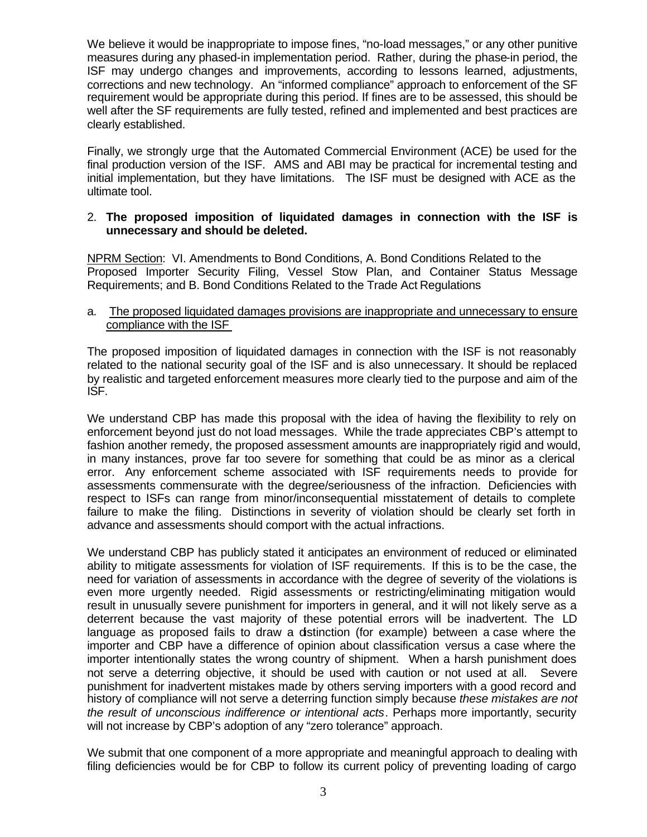We believe it would be inappropriate to impose fines, "no-load messages," or any other punitive measures during any phased-in implementation period. Rather, during the phase-in period, the ISF may undergo changes and improvements, according to lessons learned, adjustments, corrections and new technology. An "informed compliance" approach to enforcement of the SF requirement would be appropriate during this period. If fines are to be assessed, this should be well after the SF requirements are fully tested, refined and implemented and best practices are clearly established.

Finally, we strongly urge that the Automated Commercial Environment (ACE) be used for the final production version of the ISF. AMS and ABI may be practical for incremental testing and initial implementation, but they have limitations. The ISF must be designed with ACE as the ultimate tool.

#### 2. **The proposed imposition of liquidated damages in connection with the ISF is unnecessary and should be deleted.**

NPRM Section: VI. Amendments to Bond Conditions, A. Bond Conditions Related to the Proposed Importer Security Filing, Vessel Stow Plan, and Container Status Message Requirements; and B. Bond Conditions Related to the Trade Act Regulations

a. The proposed liquidated damages provisions are inappropriate and unnecessary to ensure compliance with the ISF

The proposed imposition of liquidated damages in connection with the ISF is not reasonably related to the national security goal of the ISF and is also unnecessary. It should be replaced by realistic and targeted enforcement measures more clearly tied to the purpose and aim of the ISF.

We understand CBP has made this proposal with the idea of having the flexibility to rely on enforcement beyond just do not load messages. While the trade appreciates CBP's attempt to fashion another remedy, the proposed assessment amounts are inappropriately rigid and would, in many instances, prove far too severe for something that could be as minor as a clerical error. Any enforcement scheme associated with ISF requirements needs to provide for assessments commensurate with the degree/seriousness of the infraction. Deficiencies with respect to ISFs can range from minor/inconsequential misstatement of details to complete failure to make the filing. Distinctions in severity of violation should be clearly set forth in advance and assessments should comport with the actual infractions.

We understand CBP has publicly stated it anticipates an environment of reduced or eliminated ability to mitigate assessments for violation of ISF requirements. If this is to be the case, the need for variation of assessments in accordance with the degree of severity of the violations is even more urgently needed. Rigid assessments or restricting/eliminating mitigation would result in unusually severe punishment for importers in general, and it will not likely serve as a deterrent because the vast majority of these potential errors will be inadvertent. The LD language as proposed fails to draw a distinction (for example) between a case where the importer and CBP have a difference of opinion about classification versus a case where the importer intentionally states the wrong country of shipment. When a harsh punishment does not serve a deterring objective, it should be used with caution or not used at all. Severe punishment for inadvertent mistakes made by others serving importers with a good record and history of compliance will not serve a deterring function simply because *these mistakes are not the result of unconscious indifference or intentional acts*. Perhaps more importantly, security will not increase by CBP's adoption of any "zero tolerance" approach.

We submit that one component of a more appropriate and meaningful approach to dealing with filing deficiencies would be for CBP to follow its current policy of preventing loading of cargo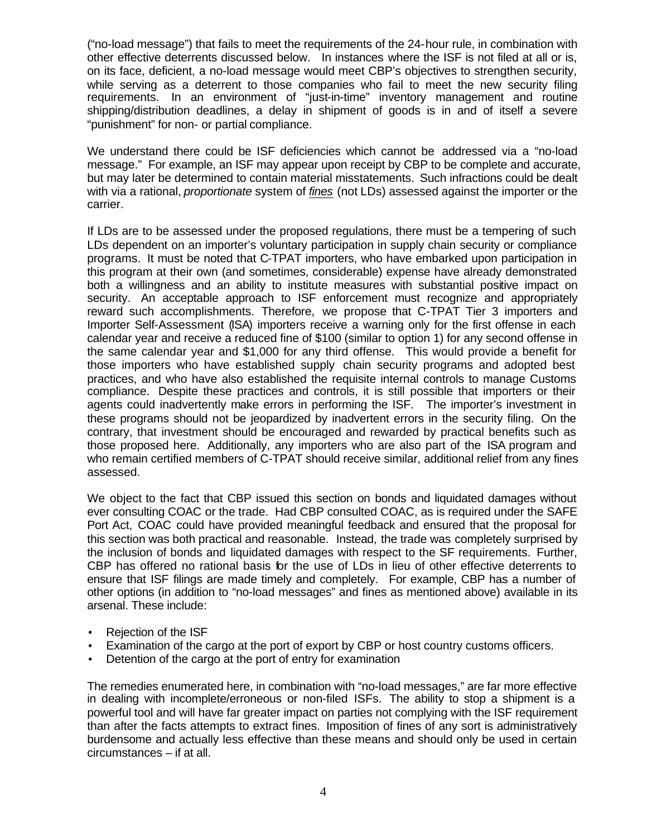("no-load message") that fails to meet the requirements of the 24-hour rule, in combination with other effective deterrents discussed below. In instances where the ISF is not filed at all or is, on its face, deficient, a no-load message would meet CBP's objectives to strengthen security, while serving as a deterrent to those companies who fail to meet the new security filing requirements. In an environment of "just-in-time" inventory management and routine shipping/distribution deadlines, a delay in shipment of goods is in and of itself a severe "punishment" for non- or partial compliance.

We understand there could be ISF deficiencies which cannot be addressed via a "no-load message." For example, an ISF may appear upon receipt by CBP to be complete and accurate, but may later be determined to contain material misstatements. Such infractions could be dealt with via a rational, *proportionate* system of *fines* (not LDs) assessed against the importer or the carrier.

If LDs are to be assessed under the proposed regulations, there must be a tempering of such LDs dependent on an importer's voluntary participation in supply chain security or compliance programs. It must be noted that C-TPAT importers, who have embarked upon participation in this program at their own (and sometimes, considerable) expense have already demonstrated both a willingness and an ability to institute measures with substantial positive impact on security. An acceptable approach to ISF enforcement must recognize and appropriately reward such accomplishments. Therefore, we propose that C-TPAT Tier 3 importers and Importer Self-Assessment (ISA) importers receive a warning only for the first offense in each calendar year and receive a reduced fine of \$100 (similar to option 1) for any second offense in the same calendar year and \$1,000 for any third offense. This would provide a benefit for those importers who have established supply chain security programs and adopted best practices, and who have also established the requisite internal controls to manage Customs compliance. Despite these practices and controls, it is still possible that importers or their agents could inadvertently make errors in performing the ISF. The importer's investment in these programs should not be jeopardized by inadvertent errors in the security filing. On the contrary, that investment should be encouraged and rewarded by practical benefits such as those proposed here. Additionally, any importers who are also part of the ISA program and who remain certified members of C-TPAT should receive similar, additional relief from any fines assessed.

We object to the fact that CBP issued this section on bonds and liquidated damages without ever consulting COAC or the trade. Had CBP consulted COAC, as is required under the SAFE Port Act, COAC could have provided meaningful feedback and ensured that the proposal for this section was both practical and reasonable. Instead, the trade was completely surprised by the inclusion of bonds and liquidated damages with respect to the SF requirements. Further, CBP has offered no rational basis for the use of LDs in lieu of other effective deterrents to ensure that ISF filings are made timely and completely. For example, CBP has a number of other options (in addition to "no-load messages" and fines as mentioned above) available in its arsenal. These include:

- Rejection of the ISF
- Examination of the cargo at the port of export by CBP or host country customs officers.
- Detention of the cargo at the port of entry for examination

The remedies enumerated here, in combination with "no-load messages," are far more effective in dealing with incomplete/erroneous or non-filed ISFs. The ability to stop a shipment is a powerful tool and will have far greater impact on parties not complying with the ISF requirement than after the facts attempts to extract fines. Imposition of fines of any sort is administratively burdensome and actually less effective than these means and should only be used in certain circumstances – if at all.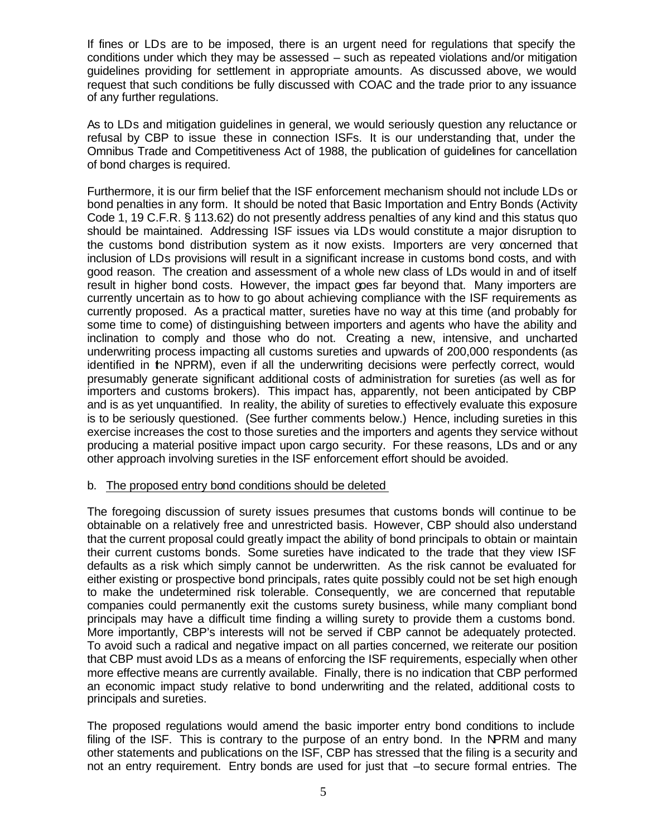If fines or LDs are to be imposed, there is an urgent need for regulations that specify the conditions under which they may be assessed – such as repeated violations and/or mitigation guidelines providing for settlement in appropriate amounts. As discussed above, we would request that such conditions be fully discussed with COAC and the trade prior to any issuance of any further regulations.

As to LDs and mitigation guidelines in general, we would seriously question any reluctance or refusal by CBP to issue these in connection ISFs. It is our understanding that, under the Omnibus Trade and Competitiveness Act of 1988, the publication of guidelines for cancellation of bond charges is required.

Furthermore, it is our firm belief that the ISF enforcement mechanism should not include LDs or bond penalties in any form. It should be noted that Basic Importation and Entry Bonds (Activity Code 1, 19 C.F.R. § 113.62) do not presently address penalties of any kind and this status quo should be maintained. Addressing ISF issues via LDs would constitute a major disruption to the customs bond distribution system as it now exists. Importers are very concerned that inclusion of LDs provisions will result in a significant increase in customs bond costs, and with good reason. The creation and assessment of a whole new class of LDs would in and of itself result in higher bond costs. However, the impact goes far beyond that. Many importers are currently uncertain as to how to go about achieving compliance with the ISF requirements as currently proposed. As a practical matter, sureties have no way at this time (and probably for some time to come) of distinguishing between importers and agents who have the ability and inclination to comply and those who do not. Creating a new, intensive, and uncharted underwriting process impacting all customs sureties and upwards of 200,000 respondents (as identified in the NPRM), even if all the underwriting decisions were perfectly correct, would presumably generate significant additional costs of administration for sureties (as well as for importers and customs brokers). This impact has, apparently, not been anticipated by CBP and is as yet unquantified. In reality, the ability of sureties to effectively evaluate this exposure is to be seriously questioned. (See further comments below.) Hence, including sureties in this exercise increases the cost to those sureties and the importers and agents they service without producing a material positive impact upon cargo security. For these reasons, LDs and or any other approach involving sureties in the ISF enforcement effort should be avoided.

## b. The proposed entry bond conditions should be deleted

The foregoing discussion of surety issues presumes that customs bonds will continue to be obtainable on a relatively free and unrestricted basis. However, CBP should also understand that the current proposal could greatly impact the ability of bond principals to obtain or maintain their current customs bonds. Some sureties have indicated to the trade that they view ISF defaults as a risk which simply cannot be underwritten. As the risk cannot be evaluated for either existing or prospective bond principals, rates quite possibly could not be set high enough to make the undetermined risk tolerable. Consequently, we are concerned that reputable companies could permanently exit the customs surety business, while many compliant bond principals may have a difficult time finding a willing surety to provide them a customs bond. More importantly, CBP's interests will not be served if CBP cannot be adequately protected. To avoid such a radical and negative impact on all parties concerned, we reiterate our position that CBP must avoid LDs as a means of enforcing the ISF requirements, especially when other more effective means are currently available. Finally, there is no indication that CBP performed an economic impact study relative to bond underwriting and the related, additional costs to principals and sureties.

The proposed regulations would amend the basic importer entry bond conditions to include filing of the ISF. This is contrary to the purpose of an entry bond. In the NPRM and many other statements and publications on the ISF, CBP has stressed that the filing is a security and not an entry requirement. Entry bonds are used for just that –to secure formal entries. The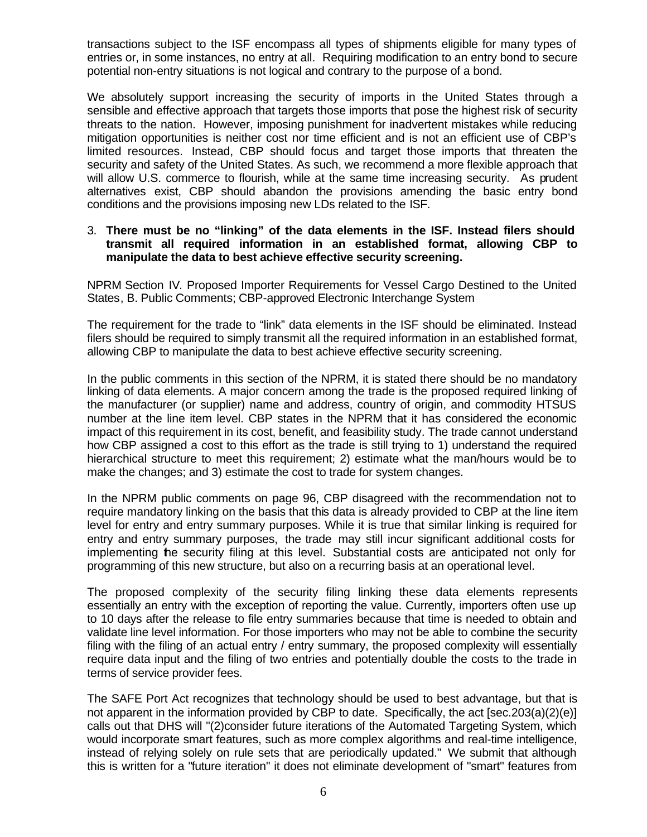transactions subject to the ISF encompass all types of shipments eligible for many types of entries or, in some instances, no entry at all. Requiring modification to an entry bond to secure potential non-entry situations is not logical and contrary to the purpose of a bond.

We absolutely support increasing the security of imports in the United States through a sensible and effective approach that targets those imports that pose the highest risk of security threats to the nation. However, imposing punishment for inadvertent mistakes while reducing mitigation opportunities is neither cost nor time efficient and is not an efficient use of CBP's limited resources. Instead, CBP should focus and target those imports that threaten the security and safety of the United States. As such, we recommend a more flexible approach that will allow U.S. commerce to flourish, while at the same time increasing security. As prudent alternatives exist, CBP should abandon the provisions amending the basic entry bond conditions and the provisions imposing new LDs related to the ISF.

#### 3. **There must be no "linking" of the data elements in the ISF. Instead filers should transmit all required information in an established format, allowing CBP to manipulate the data to best achieve effective security screening.**

NPRM Section IV. Proposed Importer Requirements for Vessel Cargo Destined to the United States, B. Public Comments; CBP-approved Electronic Interchange System

The requirement for the trade to "link" data elements in the ISF should be eliminated. Instead filers should be required to simply transmit all the required information in an established format, allowing CBP to manipulate the data to best achieve effective security screening.

In the public comments in this section of the NPRM, it is stated there should be no mandatory linking of data elements. A major concern among the trade is the proposed required linking of the manufacturer (or supplier) name and address, country of origin, and commodity HTSUS number at the line item level. CBP states in the NPRM that it has considered the economic impact of this requirement in its cost, benefit, and feasibility study. The trade cannot understand how CBP assigned a cost to this effort as the trade is still trying to 1) understand the required hierarchical structure to meet this requirement; 2) estimate what the man/hours would be to make the changes; and 3) estimate the cost to trade for system changes.

In the NPRM public comments on page 96, CBP disagreed with the recommendation not to require mandatory linking on the basis that this data is already provided to CBP at the line item level for entry and entry summary purposes. While it is true that similar linking is required for entry and entry summary purposes, the trade may still incur significant additional costs for implementing the security filing at this level. Substantial costs are anticipated not only for programming of this new structure, but also on a recurring basis at an operational level.

The proposed complexity of the security filing linking these data elements represents essentially an entry with the exception of reporting the value. Currently, importers often use up to 10 days after the release to file entry summaries because that time is needed to obtain and validate line level information. For those importers who may not be able to combine the security filing with the filing of an actual entry / entry summary, the proposed complexity will essentially require data input and the filing of two entries and potentially double the costs to the trade in terms of service provider fees.

The SAFE Port Act recognizes that technology should be used to best advantage, but that is not apparent in the information provided by CBP to date. Specifically, the act [sec.203(a)(2)(e)] calls out that DHS will "(2)consider future iterations of the Automated Targeting System, which would incorporate smart features, such as more complex algorithms and real-time intelligence, instead of relying solely on rule sets that are periodically updated." We submit that although this is written for a "future iteration" it does not eliminate development of "smart" features from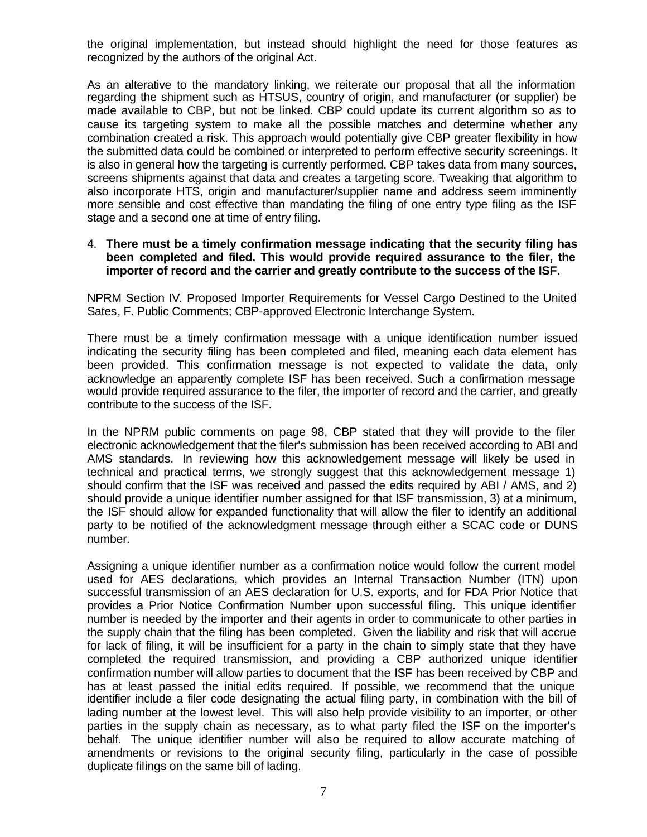the original implementation, but instead should highlight the need for those features as recognized by the authors of the original Act.

As an alterative to the mandatory linking, we reiterate our proposal that all the information regarding the shipment such as HTSUS, country of origin, and manufacturer (or supplier) be made available to CBP, but not be linked. CBP could update its current algorithm so as to cause its targeting system to make all the possible matches and determine whether any combination created a risk. This approach would potentially give CBP greater flexibility in how the submitted data could be combined or interpreted to perform effective security screenings. It is also in general how the targeting is currently performed. CBP takes data from many sources, screens shipments against that data and creates a targeting score. Tweaking that algorithm to also incorporate HTS, origin and manufacturer/supplier name and address seem imminently more sensible and cost effective than mandating the filing of one entry type filing as the ISF stage and a second one at time of entry filing.

#### 4. **There must be a timely confirmation message indicating that the security filing has been completed and filed. This would provide required assurance to the filer, the importer of record and the carrier and greatly contribute to the success of the ISF.**

NPRM Section IV. Proposed Importer Requirements for Vessel Cargo Destined to the United Sates, F. Public Comments; CBP-approved Electronic Interchange System.

There must be a timely confirmation message with a unique identification number issued indicating the security filing has been completed and filed, meaning each data element has been provided. This confirmation message is not expected to validate the data, only acknowledge an apparently complete ISF has been received. Such a confirmation message would provide required assurance to the filer, the importer of record and the carrier, and greatly contribute to the success of the ISF.

In the NPRM public comments on page 98, CBP stated that they will provide to the filer electronic acknowledgement that the filer's submission has been received according to ABI and AMS standards. In reviewing how this acknowledgement message will likely be used in technical and practical terms, we strongly suggest that this acknowledgement message 1) should confirm that the ISF was received and passed the edits required by ABI / AMS, and 2) should provide a unique identifier number assigned for that ISF transmission, 3) at a minimum, the ISF should allow for expanded functionality that will allow the filer to identify an additional party to be notified of the acknowledgment message through either a SCAC code or DUNS number.

Assigning a unique identifier number as a confirmation notice would follow the current model used for AES declarations, which provides an Internal Transaction Number (ITN) upon successful transmission of an AES declaration for U.S. exports, and for FDA Prior Notice that provides a Prior Notice Confirmation Number upon successful filing. This unique identifier number is needed by the importer and their agents in order to communicate to other parties in the supply chain that the filing has been completed. Given the liability and risk that will accrue for lack of filing, it will be insufficient for a party in the chain to simply state that they have completed the required transmission, and providing a CBP authorized unique identifier confirmation number will allow parties to document that the ISF has been received by CBP and has at least passed the initial edits required. If possible, we recommend that the unique identifier include a filer code designating the actual filing party, in combination with the bill of lading number at the lowest level. This will also help provide visibility to an importer, or other parties in the supply chain as necessary, as to what party filed the ISF on the importer's behalf. The unique identifier number will also be required to allow accurate matching of amendments or revisions to the original security filing, particularly in the case of possible duplicate filings on the same bill of lading.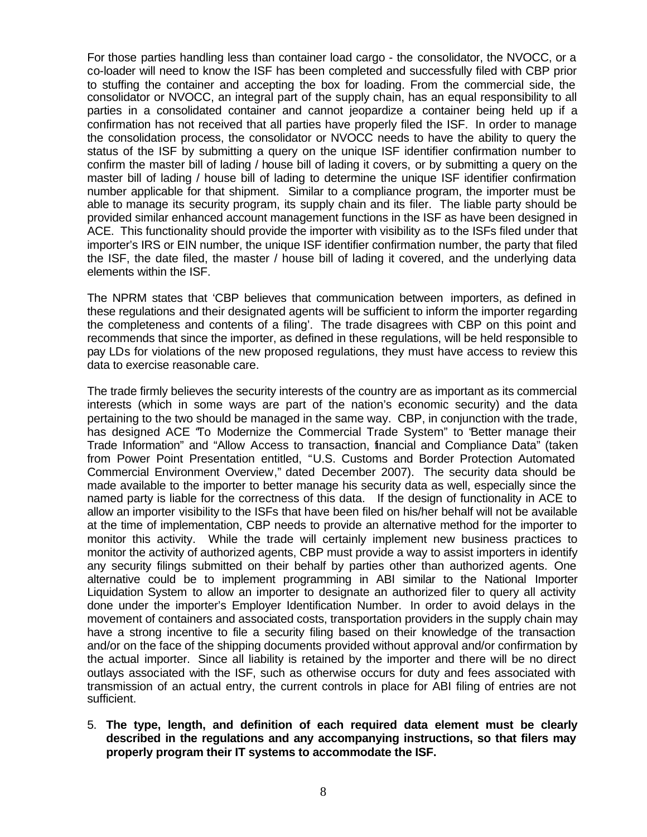For those parties handling less than container load cargo - the consolidator, the NVOCC, or a co-loader will need to know the ISF has been completed and successfully filed with CBP prior to stuffing the container and accepting the box for loading. From the commercial side, the consolidator or NVOCC, an integral part of the supply chain, has an equal responsibility to all parties in a consolidated container and cannot jeopardize a container being held up if a confirmation has not received that all parties have properly filed the ISF. In order to manage the consolidation process, the consolidator or NVOCC needs to have the ability to query the status of the ISF by submitting a query on the unique ISF identifier confirmation number to confirm the master bill of lading / house bill of lading it covers, or by submitting a query on the master bill of lading / house bill of lading to determine the unique ISF identifier confirmation number applicable for that shipment. Similar to a compliance program, the importer must be able to manage its security program, its supply chain and its filer. The liable party should be provided similar enhanced account management functions in the ISF as have been designed in ACE. This functionality should provide the importer with visibility as to the ISFs filed under that importer's IRS or EIN number, the unique ISF identifier confirmation number, the party that filed the ISF, the date filed, the master / house bill of lading it covered, and the underlying data elements within the ISF.

The NPRM states that 'CBP believes that communication between importers, as defined in these regulations and their designated agents will be sufficient to inform the importer regarding the completeness and contents of a filing'. The trade disagrees with CBP on this point and recommends that since the importer, as defined in these regulations, will be held responsible to pay LDs for violations of the new proposed regulations, they must have access to review this data to exercise reasonable care.

The trade firmly believes the security interests of the country are as important as its commercial interests (which in some ways are part of the nation's economic security) and the data pertaining to the two should be managed in the same way. CBP, in conjunction with the trade, has designed ACE "To Modernize the Commercial Trade System" to "Better manage their Trade Information" and "Allow Access to transaction, financial and Compliance Data" (taken from Power Point Presentation entitled, "U.S. Customs and Border Protection Automated Commercial Environment Overview," dated December 2007). The security data should be made available to the importer to better manage his security data as well, especially since the named party is liable for the correctness of this data. If the design of functionality in ACE to allow an importer visibility to the ISFs that have been filed on his/her behalf will not be available at the time of implementation, CBP needs to provide an alternative method for the importer to monitor this activity. While the trade will certainly implement new business practices to monitor the activity of authorized agents, CBP must provide a way to assist importers in identify any security filings submitted on their behalf by parties other than authorized agents. One alternative could be to implement programming in ABI similar to the National Importer Liquidation System to allow an importer to designate an authorized filer to query all activity done under the importer's Employer Identification Number. In order to avoid delays in the movement of containers and associated costs, transportation providers in the supply chain may have a strong incentive to file a security filing based on their knowledge of the transaction and/or on the face of the shipping documents provided without approval and/or confirmation by the actual importer. Since all liability is retained by the importer and there will be no direct outlays associated with the ISF, such as otherwise occurs for duty and fees associated with transmission of an actual entry, the current controls in place for ABI filing of entries are not sufficient.

5. **The type, length, and definition of each required data element must be clearly described in the regulations and any accompanying instructions, so that filers may properly program their IT systems to accommodate the ISF.**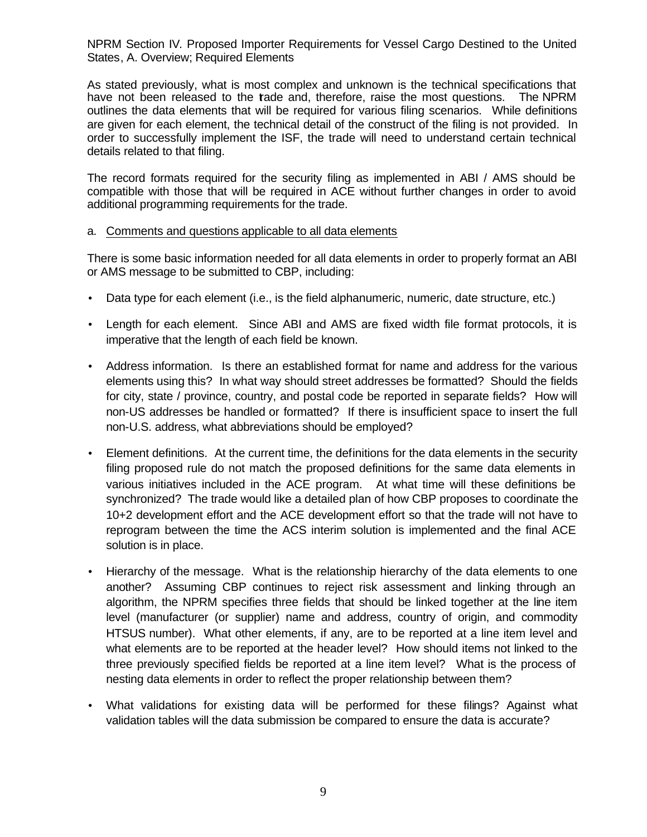NPRM Section IV. Proposed Importer Requirements for Vessel Cargo Destined to the United States, A. Overview; Required Elements

As stated previously, what is most complex and unknown is the technical specifications that have not been released to the trade and, therefore, raise the most questions. The NPRM outlines the data elements that will be required for various filing scenarios. While definitions are given for each element, the technical detail of the construct of the filing is not provided. In order to successfully implement the ISF, the trade will need to understand certain technical details related to that filing.

The record formats required for the security filing as implemented in ABI / AMS should be compatible with those that will be required in ACE without further changes in order to avoid additional programming requirements for the trade.

#### a. Comments and questions applicable to all data elements

There is some basic information needed for all data elements in order to properly format an ABI or AMS message to be submitted to CBP, including:

- Data type for each element (i.e., is the field alphanumeric, numeric, date structure, etc.)
- Length for each element. Since ABI and AMS are fixed width file format protocols, it is imperative that the length of each field be known.
- Address information. Is there an established format for name and address for the various elements using this? In what way should street addresses be formatted? Should the fields for city, state / province, country, and postal code be reported in separate fields? How will non-US addresses be handled or formatted? If there is insufficient space to insert the full non-U.S. address, what abbreviations should be employed?
- Element definitions. At the current time, the definitions for the data elements in the security filing proposed rule do not match the proposed definitions for the same data elements in various initiatives included in the ACE program. At what time will these definitions be synchronized? The trade would like a detailed plan of how CBP proposes to coordinate the 10+2 development effort and the ACE development effort so that the trade will not have to reprogram between the time the ACS interim solution is implemented and the final ACE solution is in place.
- Hierarchy of the message. What is the relationship hierarchy of the data elements to one another? Assuming CBP continues to reject risk assessment and linking through an algorithm, the NPRM specifies three fields that should be linked together at the line item level (manufacturer (or supplier) name and address, country of origin, and commodity HTSUS number). What other elements, if any, are to be reported at a line item level and what elements are to be reported at the header level? How should items not linked to the three previously specified fields be reported at a line item level? What is the process of nesting data elements in order to reflect the proper relationship between them?
- What validations for existing data will be performed for these filings? Against what validation tables will the data submission be compared to ensure the data is accurate?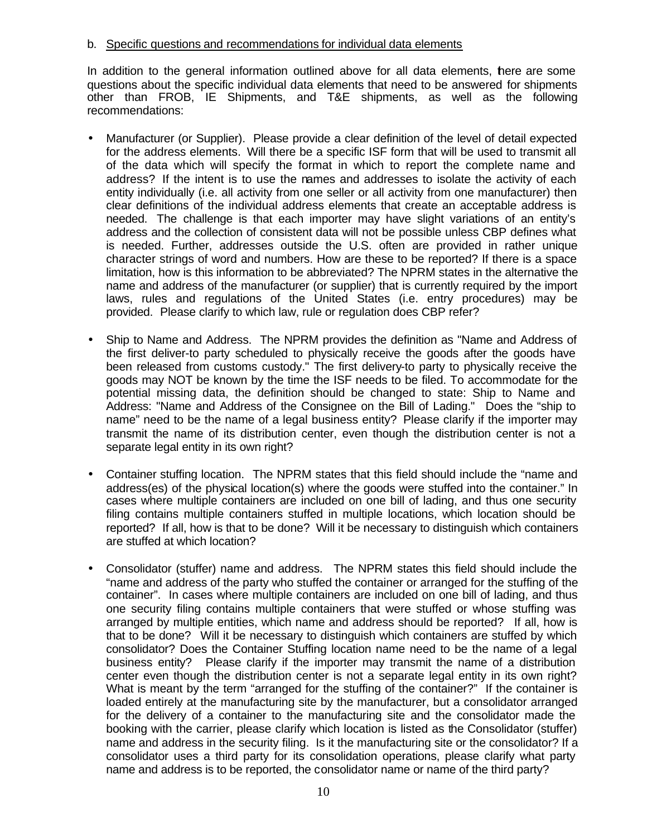#### b. Specific questions and recommendations for individual data elements

In addition to the general information outlined above for all data elements, there are some questions about the specific individual data elements that need to be answered for shipments other than FROB, IE Shipments, and T&E shipments, as well as the following recommendations:

- Manufacturer (or Supplier). Please provide a clear definition of the level of detail expected for the address elements. Will there be a specific ISF form that will be used to transmit all of the data which will specify the format in which to report the complete name and address? If the intent is to use the names and addresses to isolate the activity of each entity individually (i.e. all activity from one seller or all activity from one manufacturer) then clear definitions of the individual address elements that create an acceptable address is needed. The challenge is that each importer may have slight variations of an entity's address and the collection of consistent data will not be possible unless CBP defines what is needed. Further, addresses outside the U.S. often are provided in rather unique character strings of word and numbers. How are these to be reported? If there is a space limitation, how is this information to be abbreviated? The NPRM states in the alternative the name and address of the manufacturer (or supplier) that is currently required by the import laws, rules and regulations of the United States (i.e. entry procedures) may be provided. Please clarify to which law, rule or regulation does CBP refer?
- Ship to Name and Address. The NPRM provides the definition as "Name and Address of the first deliver-to party scheduled to physically receive the goods after the goods have been released from customs custody." The first delivery-to party to physically receive the goods may NOT be known by the time the ISF needs to be filed. To accommodate for the potential missing data, the definition should be changed to state: Ship to Name and Address: "Name and Address of the Consignee on the Bill of Lading." Does the "ship to name" need to be the name of a legal business entity? Please clarify if the importer may transmit the name of its distribution center, even though the distribution center is not a separate legal entity in its own right?
- Container stuffing location. The NPRM states that this field should include the "name and address(es) of the physical location(s) where the goods were stuffed into the container." In cases where multiple containers are included on one bill of lading, and thus one security filing contains multiple containers stuffed in multiple locations, which location should be reported? If all, how is that to be done? Will it be necessary to distinguish which containers are stuffed at which location?
- Consolidator (stuffer) name and address. The NPRM states this field should include the "name and address of the party who stuffed the container or arranged for the stuffing of the container". In cases where multiple containers are included on one bill of lading, and thus one security filing contains multiple containers that were stuffed or whose stuffing was arranged by multiple entities, which name and address should be reported? If all, how is that to be done? Will it be necessary to distinguish which containers are stuffed by which consolidator? Does the Container Stuffing location name need to be the name of a legal business entity? Please clarify if the importer may transmit the name of a distribution center even though the distribution center is not a separate legal entity in its own right? What is meant by the term "arranged for the stuffing of the container?" If the container is loaded entirely at the manufacturing site by the manufacturer, but a consolidator arranged for the delivery of a container to the manufacturing site and the consolidator made the booking with the carrier, please clarify which location is listed as the Consolidator (stuffer) name and address in the security filing. Is it the manufacturing site or the consolidator? If a consolidator uses a third party for its consolidation operations, please clarify what party name and address is to be reported, the consolidator name or name of the third party?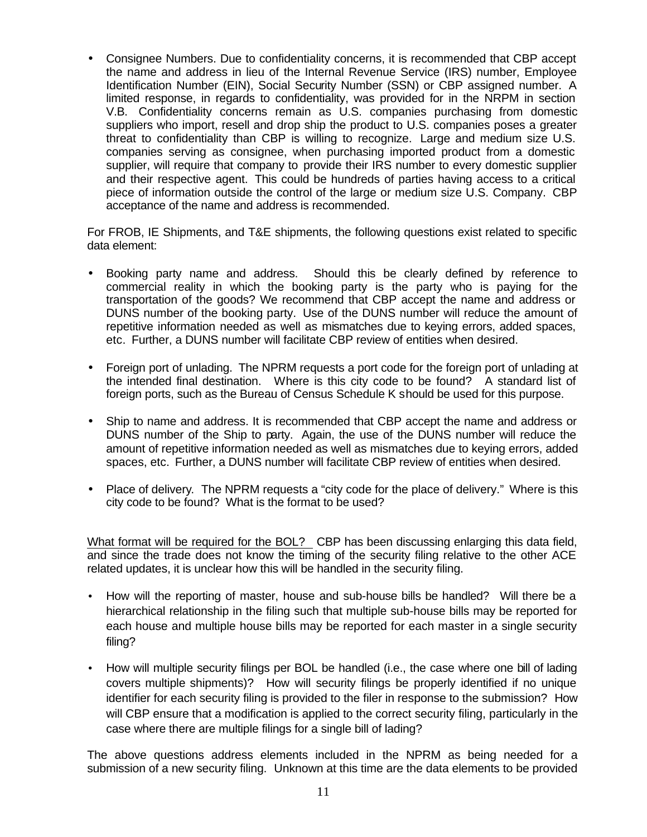• Consignee Numbers. Due to confidentiality concerns, it is recommended that CBP accept the name and address in lieu of the Internal Revenue Service (IRS) number, Employee Identification Number (EIN), Social Security Number (SSN) or CBP assigned number. A limited response, in regards to confidentiality, was provided for in the NRPM in section V.B. Confidentiality concerns remain as U.S. companies purchasing from domestic suppliers who import, resell and drop ship the product to U.S. companies poses a greater threat to confidentiality than CBP is willing to recognize. Large and medium size U.S. companies serving as consignee, when purchasing imported product from a domestic supplier, will require that company to provide their IRS number to every domestic supplier and their respective agent. This could be hundreds of parties having access to a critical piece of information outside the control of the large or medium size U.S. Company. CBP acceptance of the name and address is recommended.

For FROB, IE Shipments, and T&E shipments, the following questions exist related to specific data element:

- Booking party name and address. Should this be clearly defined by reference to commercial reality in which the booking party is the party who is paying for the transportation of the goods? We recommend that CBP accept the name and address or DUNS number of the booking party. Use of the DUNS number will reduce the amount of repetitive information needed as well as mismatches due to keying errors, added spaces, etc. Further, a DUNS number will facilitate CBP review of entities when desired.
- Foreign port of unlading. The NPRM requests a port code for the foreign port of unlading at the intended final destination. Where is this city code to be found? A standard list of foreign ports, such as the Bureau of Census Schedule K should be used for this purpose.
- Ship to name and address. It is recommended that CBP accept the name and address or DUNS number of the Ship to party. Again, the use of the DUNS number will reduce the amount of repetitive information needed as well as mismatches due to keying errors, added spaces, etc. Further, a DUNS number will facilitate CBP review of entities when desired.
- Place of delivery. The NPRM requests a "city code for the place of delivery." Where is this city code to be found? What is the format to be used?

What format will be required for the BOL? CBP has been discussing enlarging this data field, and since the trade does not know the timing of the security filing relative to the other ACE related updates, it is unclear how this will be handled in the security filing.

- How will the reporting of master, house and sub-house bills be handled? Will there be a hierarchical relationship in the filing such that multiple sub-house bills may be reported for each house and multiple house bills may be reported for each master in a single security filing?
- How will multiple security filings per BOL be handled (i.e., the case where one bill of lading covers multiple shipments)? How will security filings be properly identified if no unique identifier for each security filing is provided to the filer in response to the submission? How will CBP ensure that a modification is applied to the correct security filing, particularly in the case where there are multiple filings for a single bill of lading?

The above questions address elements included in the NPRM as being needed for a submission of a new security filing. Unknown at this time are the data elements to be provided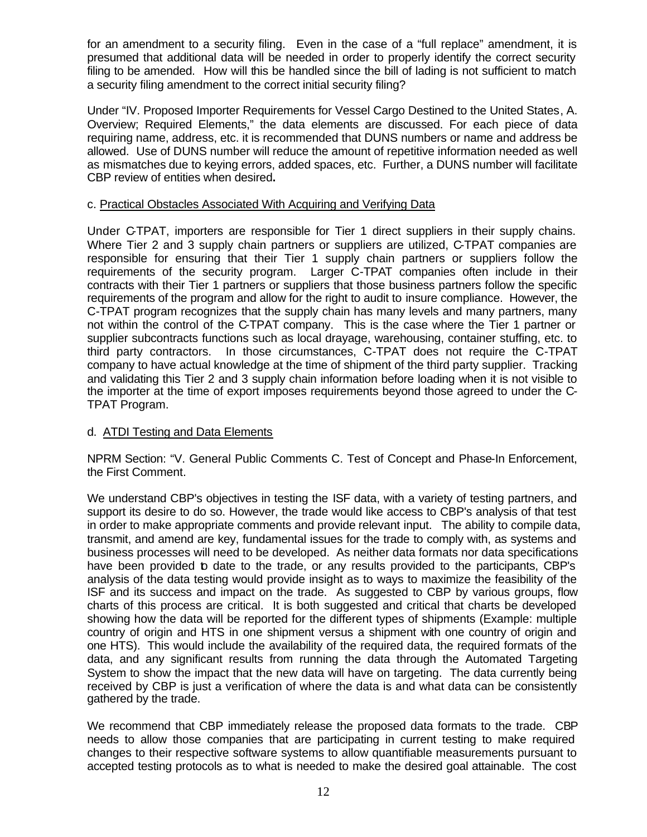for an amendment to a security filing. Even in the case of a "full replace" amendment, it is presumed that additional data will be needed in order to properly identify the correct security filing to be amended. How will this be handled since the bill of lading is not sufficient to match a security filing amendment to the correct initial security filing?

Under "IV. Proposed Importer Requirements for Vessel Cargo Destined to the United States, A. Overview; Required Elements," the data elements are discussed. For each piece of data requiring name, address, etc. it is recommended that DUNS numbers or name and address be allowed. Use of DUNS number will reduce the amount of repetitive information needed as well as mismatches due to keying errors, added spaces, etc. Further, a DUNS number will facilitate CBP review of entities when desired**.**

## c. Practical Obstacles Associated With Acquiring and Verifying Data

Under C-TPAT, importers are responsible for Tier 1 direct suppliers in their supply chains. Where Tier 2 and 3 supply chain partners or suppliers are utilized, C-TPAT companies are responsible for ensuring that their Tier 1 supply chain partners or suppliers follow the requirements of the security program. Larger C-TPAT companies often include in their contracts with their Tier 1 partners or suppliers that those business partners follow the specific requirements of the program and allow for the right to audit to insure compliance. However, the C-TPAT program recognizes that the supply chain has many levels and many partners, many not within the control of the C-TPAT company. This is the case where the Tier 1 partner or supplier subcontracts functions such as local drayage, warehousing, container stuffing, etc. to third party contractors. In those circumstances, C-TPAT does not require the C-TPAT company to have actual knowledge at the time of shipment of the third party supplier. Tracking and validating this Tier 2 and 3 supply chain information before loading when it is not visible to the importer at the time of export imposes requirements beyond those agreed to under the C-TPAT Program.

## d. ATDI Testing and Data Elements

NPRM Section: "V. General Public Comments C. Test of Concept and Phase-In Enforcement, the First Comment.

We understand CBP's objectives in testing the ISF data, with a variety of testing partners, and support its desire to do so. However, the trade would like access to CBP's analysis of that test in order to make appropriate comments and provide relevant input. The ability to compile data, transmit, and amend are key, fundamental issues for the trade to comply with, as systems and business processes will need to be developed. As neither data formats nor data specifications have been provided to date to the trade, or any results provided to the participants, CBP's analysis of the data testing would provide insight as to ways to maximize the feasibility of the ISF and its success and impact on the trade. As suggested to CBP by various groups, flow charts of this process are critical. It is both suggested and critical that charts be developed showing how the data will be reported for the different types of shipments (Example: multiple country of origin and HTS in one shipment versus a shipment with one country of origin and one HTS). This would include the availability of the required data, the required formats of the data, and any significant results from running the data through the Automated Targeting System to show the impact that the new data will have on targeting. The data currently being received by CBP is just a verification of where the data is and what data can be consistently gathered by the trade.

We recommend that CBP immediately release the proposed data formats to the trade. CBP needs to allow those companies that are participating in current testing to make required changes to their respective software systems to allow quantifiable measurements pursuant to accepted testing protocols as to what is needed to make the desired goal attainable. The cost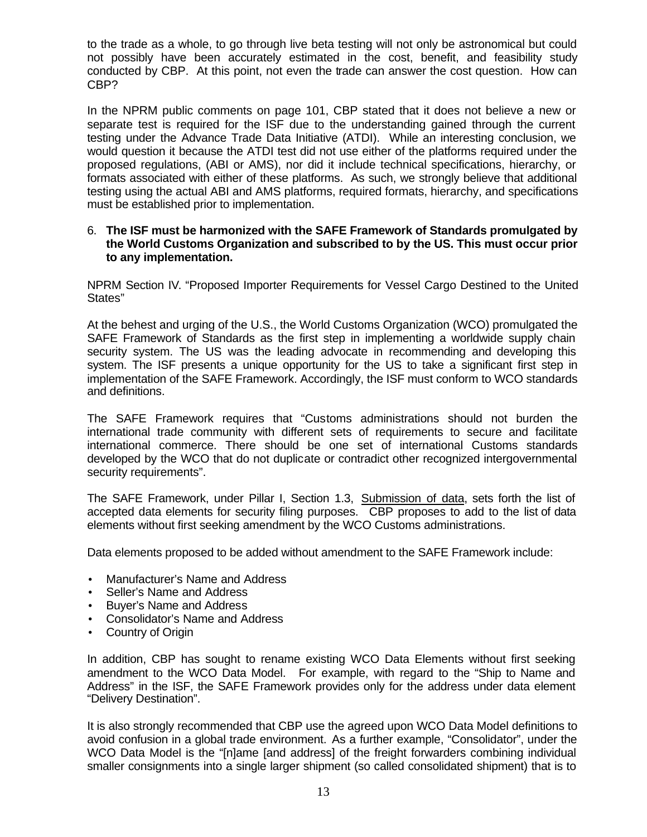to the trade as a whole, to go through live beta testing will not only be astronomical but could not possibly have been accurately estimated in the cost, benefit, and feasibility study conducted by CBP. At this point, not even the trade can answer the cost question. How can CBP?

In the NPRM public comments on page 101, CBP stated that it does not believe a new or separate test is required for the ISF due to the understanding gained through the current testing under the Advance Trade Data Initiative (ATDI). While an interesting conclusion, we would question it because the ATDI test did not use either of the platforms required under the proposed regulations, (ABI or AMS), nor did it include technical specifications, hierarchy, or formats associated with either of these platforms. As such, we strongly believe that additional testing using the actual ABI and AMS platforms, required formats, hierarchy, and specifications must be established prior to implementation.

#### 6. **The ISF must be harmonized with the SAFE Framework of Standards promulgated by the World Customs Organization and subscribed to by the US. This must occur prior to any implementation.**

NPRM Section IV. "Proposed Importer Requirements for Vessel Cargo Destined to the United States"

At the behest and urging of the U.S., the World Customs Organization (WCO) promulgated the SAFE Framework of Standards as the first step in implementing a worldwide supply chain security system. The US was the leading advocate in recommending and developing this system. The ISF presents a unique opportunity for the US to take a significant first step in implementation of the SAFE Framework. Accordingly, the ISF must conform to WCO standards and definitions.

The SAFE Framework requires that "Customs administrations should not burden the international trade community with different sets of requirements to secure and facilitate international commerce. There should be one set of international Customs standards developed by the WCO that do not duplicate or contradict other recognized intergovernmental security requirements".

The SAFE Framework, under Pillar I, Section 1.3, Submission of data, sets forth the list of accepted data elements for security filing purposes. CBP proposes to add to the list of data elements without first seeking amendment by the WCO Customs administrations.

Data elements proposed to be added without amendment to the SAFE Framework include:

- Manufacturer's Name and Address
- Seller's Name and Address
- Buyer's Name and Address
- Consolidator's Name and Address
- Country of Origin

In addition, CBP has sought to rename existing WCO Data Elements without first seeking amendment to the WCO Data Model. For example, with regard to the "Ship to Name and Address" in the ISF, the SAFE Framework provides only for the address under data element "Delivery Destination".

It is also strongly recommended that CBP use the agreed upon WCO Data Model definitions to avoid confusion in a global trade environment. As a further example, "Consolidator", under the WCO Data Model is the "[n]ame [and address] of the freight forwarders combining individual smaller consignments into a single larger shipment (so called consolidated shipment) that is to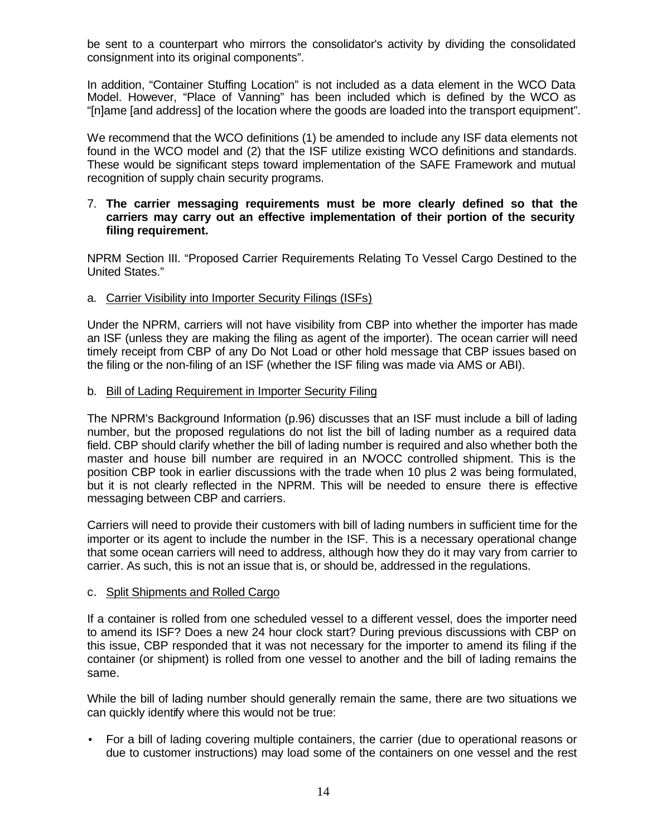be sent to a counterpart who mirrors the consolidator's activity by dividing the consolidated consignment into its original components".

In addition, "Container Stuffing Location" is not included as a data element in the WCO Data Model. However, "Place of Vanning" has been included which is defined by the WCO as "[n]ame [and address] of the location where the goods are loaded into the transport equipment".

We recommend that the WCO definitions (1) be amended to include any ISF data elements not found in the WCO model and (2) that the ISF utilize existing WCO definitions and standards. These would be significant steps toward implementation of the SAFE Framework and mutual recognition of supply chain security programs.

#### 7. **The carrier messaging requirements must be more clearly defined so that the carriers may carry out an effective implementation of their portion of the security filing requirement.**

NPRM Section III. "Proposed Carrier Requirements Relating To Vessel Cargo Destined to the United States."

## a. Carrier Visibility into Importer Security Filings (ISFs)

Under the NPRM, carriers will not have visibility from CBP into whether the importer has made an ISF (unless they are making the filing as agent of the importer). The ocean carrier will need timely receipt from CBP of any Do Not Load or other hold message that CBP issues based on the filing or the non-filing of an ISF (whether the ISF filing was made via AMS or ABI).

#### b. Bill of Lading Requirement in Importer Security Filing

The NPRM's Background Information (p.96) discusses that an ISF must include a bill of lading number, but the proposed regulations do not list the bill of lading number as a required data field. CBP should clarify whether the bill of lading number is required and also whether both the master and house bill number are required in an NVOCC controlled shipment. This is the position CBP took in earlier discussions with the trade when 10 plus 2 was being formulated, but it is not clearly reflected in the NPRM. This will be needed to ensure there is effective messaging between CBP and carriers.

Carriers will need to provide their customers with bill of lading numbers in sufficient time for the importer or its agent to include the number in the ISF. This is a necessary operational change that some ocean carriers will need to address, although how they do it may vary from carrier to carrier. As such, this is not an issue that is, or should be, addressed in the regulations.

#### c. Split Shipments and Rolled Cargo

If a container is rolled from one scheduled vessel to a different vessel, does the importer need to amend its ISF? Does a new 24 hour clock start? During previous discussions with CBP on this issue, CBP responded that it was not necessary for the importer to amend its filing if the container (or shipment) is rolled from one vessel to another and the bill of lading remains the same.

While the bill of lading number should generally remain the same, there are two situations we can quickly identify where this would not be true:

• For a bill of lading covering multiple containers, the carrier (due to operational reasons or due to customer instructions) may load some of the containers on one vessel and the rest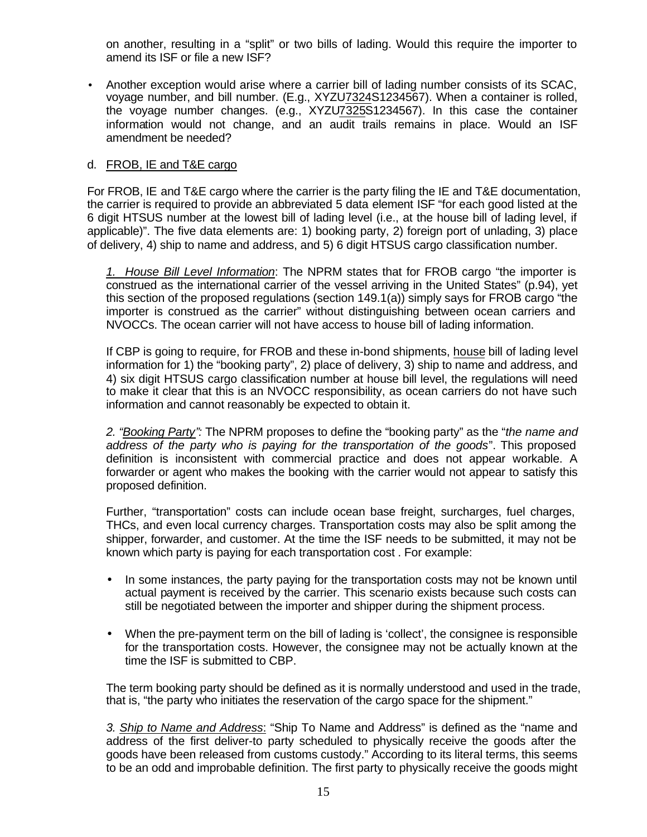on another, resulting in a "split" or two bills of lading. Would this require the importer to amend its ISF or file a new ISF?

• Another exception would arise where a carrier bill of lading number consists of its SCAC, voyage number, and bill number. (E.g., XYZU7324S1234567). When a container is rolled, the voyage number changes. (e.g., XYZU7325S1234567). In this case the container information would not change, and an audit trails remains in place. Would an ISF amendment be needed?

## d. FROB, IE and T&E cargo

For FROB, IE and T&E cargo where the carrier is the party filing the IE and T&E documentation, the carrier is required to provide an abbreviated 5 data element ISF "for each good listed at the 6 digit HTSUS number at the lowest bill of lading level (i.e., at the house bill of lading level, if applicable)". The five data elements are: 1) booking party, 2) foreign port of unlading, 3) place of delivery, 4) ship to name and address, and 5) 6 digit HTSUS cargo classification number.

*1. House Bill Level Information*: The NPRM states that for FROB cargo "the importer is construed as the international carrier of the vessel arriving in the United States" (p.94), yet this section of the proposed regulations (section 149.1(a)) simply says for FROB cargo "the importer is construed as the carrier" without distinguishing between ocean carriers and NVOCCs. The ocean carrier will not have access to house bill of lading information.

If CBP is going to require, for FROB and these in-bond shipments, house bill of lading level information for 1) the "booking party", 2) place of delivery, 3) ship to name and address, and 4) six digit HTSUS cargo classification number at house bill level, the regulations will need to make it clear that this is an NVOCC responsibility, as ocean carriers do not have such information and cannot reasonably be expected to obtain it.

*2. "Booking Party":* The NPRM proposes to define the "booking party" as the "*the name and address of the party who is paying for the transportation of the goods*". This proposed definition is inconsistent with commercial practice and does not appear workable. A forwarder or agent who makes the booking with the carrier would not appear to satisfy this proposed definition.

Further, "transportation" costs can include ocean base freight, surcharges, fuel charges, THCs, and even local currency charges. Transportation costs may also be split among the shipper, forwarder, and customer. At the time the ISF needs to be submitted, it may not be known which party is paying for each transportation cost . For example:

- In some instances, the party paying for the transportation costs may not be known until actual payment is received by the carrier. This scenario exists because such costs can still be negotiated between the importer and shipper during the shipment process.
- When the pre-payment term on the bill of lading is 'collect', the consignee is responsible for the transportation costs. However, the consignee may not be actually known at the time the ISF is submitted to CBP.

The term booking party should be defined as it is normally understood and used in the trade, that is, "the party who initiates the reservation of the cargo space for the shipment."

*3. Ship to Name and Address*: "Ship To Name and Address" is defined as the "name and address of the first deliver-to party scheduled to physically receive the goods after the goods have been released from customs custody." According to its literal terms, this seems to be an odd and improbable definition. The first party to physically receive the goods might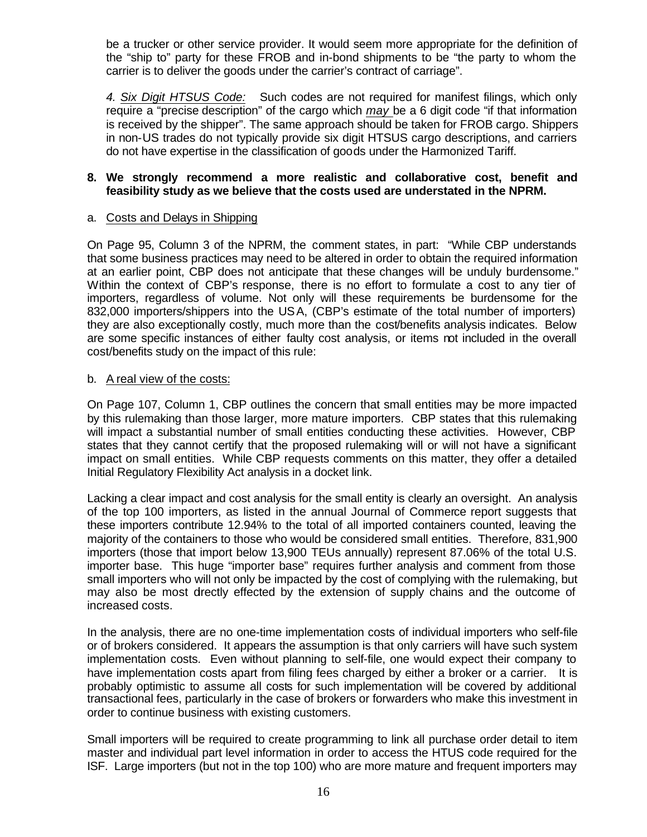be a trucker or other service provider. It would seem more appropriate for the definition of the "ship to" party for these FROB and in-bond shipments to be "the party to whom the carrier is to deliver the goods under the carrier's contract of carriage".

*4. Six Digit HTSUS Code:* Such codes are not required for manifest filings, which only require a "precise description" of the cargo which *may* be a 6 digit code "if that information is received by the shipper". The same approach should be taken for FROB cargo. Shippers in non-US trades do not typically provide six digit HTSUS cargo descriptions, and carriers do not have expertise in the classification of goods under the Harmonized Tariff.

## **8. We strongly recommend a more realistic and collaborative cost, benefit and feasibility study as we believe that the costs used are understated in the NPRM.**

## a. Costs and Delays in Shipping

On Page 95, Column 3 of the NPRM, the comment states, in part: "While CBP understands that some business practices may need to be altered in order to obtain the required information at an earlier point, CBP does not anticipate that these changes will be unduly burdensome." Within the context of CBP's response, there is no effort to formulate a cost to any tier of importers, regardless of volume. Not only will these requirements be burdensome for the 832,000 importers/shippers into the USA, (CBP's estimate of the total number of importers) they are also exceptionally costly, much more than the cost/benefits analysis indicates. Below are some specific instances of either faulty cost analysis, or items not included in the overall cost/benefits study on the impact of this rule:

#### b. A real view of the costs:

On Page 107, Column 1, CBP outlines the concern that small entities may be more impacted by this rulemaking than those larger, more mature importers. CBP states that this rulemaking will impact a substantial number of small entities conducting these activities. However, CBP states that they cannot certify that the proposed rulemaking will or will not have a significant impact on small entities. While CBP requests comments on this matter, they offer a detailed Initial Regulatory Flexibility Act analysis in a docket link.

Lacking a clear impact and cost analysis for the small entity is clearly an oversight. An analysis of the top 100 importers, as listed in the annual Journal of Commerce report suggests that these importers contribute 12.94% to the total of all imported containers counted, leaving the majority of the containers to those who would be considered small entities. Therefore, 831,900 importers (those that import below 13,900 TEUs annually) represent 87.06% of the total U.S. importer base. This huge "importer base" requires further analysis and comment from those small importers who will not only be impacted by the cost of complying with the rulemaking, but may also be most directly effected by the extension of supply chains and the outcome of increased costs.

In the analysis, there are no one-time implementation costs of individual importers who self-file or of brokers considered. It appears the assumption is that only carriers will have such system implementation costs. Even without planning to self-file, one would expect their company to have implementation costs apart from filing fees charged by either a broker or a carrier. It is probably optimistic to assume all costs for such implementation will be covered by additional transactional fees, particularly in the case of brokers or forwarders who make this investment in order to continue business with existing customers.

Small importers will be required to create programming to link all purchase order detail to item master and individual part level information in order to access the HTUS code required for the ISF. Large importers (but not in the top 100) who are more mature and frequent importers may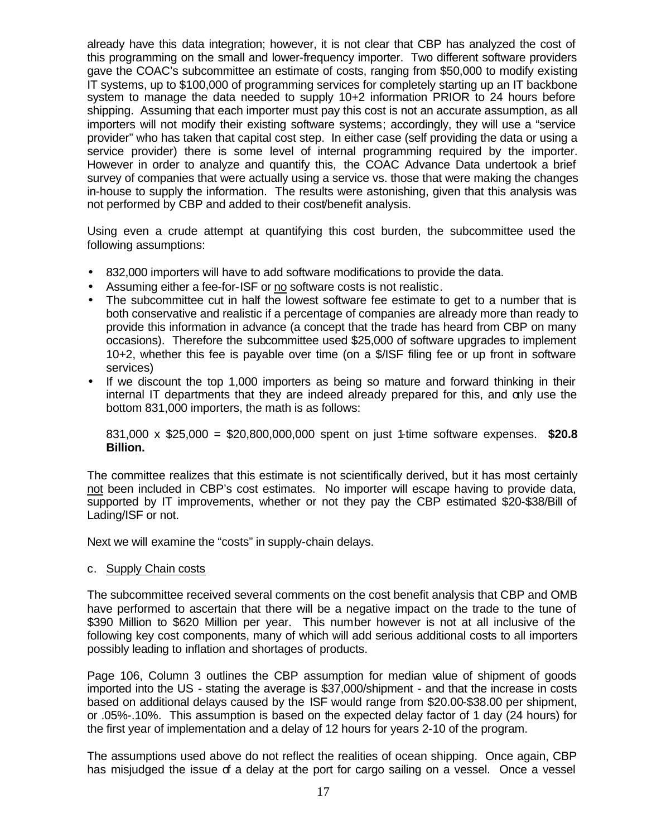already have this data integration; however, it is not clear that CBP has analyzed the cost of this programming on the small and lower-frequency importer. Two different software providers gave the COAC's subcommittee an estimate of costs, ranging from \$50,000 to modify existing IT systems, up to \$100,000 of programming services for completely starting up an IT backbone system to manage the data needed to supply 10+2 information PRIOR to 24 hours before shipping. Assuming that each importer must pay this cost is not an accurate assumption, as all importers will not modify their existing software systems; accordingly, they will use a "service provider" who has taken that capital cost step. In either case (self providing the data or using a service provider) there is some level of internal programming required by the importer. However in order to analyze and quantify this, the COAC Advance Data undertook a brief survey of companies that were actually using a service vs. those that were making the changes in-house to supply the information. The results were astonishing, given that this analysis was not performed by CBP and added to their cost/benefit analysis.

Using even a crude attempt at quantifying this cost burden, the subcommittee used the following assumptions:

- 832,000 importers will have to add software modifications to provide the data.
- Assuming either a fee-for-ISF or no software costs is not realistic.
- The subcommittee cut in half the lowest software fee estimate to get to a number that is both conservative and realistic if a percentage of companies are already more than ready to provide this information in advance (a concept that the trade has heard from CBP on many occasions). Therefore the subcommittee used \$25,000 of software upgrades to implement 10+2, whether this fee is payable over time (on a \$/ISF filing fee or up front in software services)
- If we discount the top 1,000 importers as being so mature and forward thinking in their internal IT departments that they are indeed already prepared for this, and only use the bottom 831,000 importers, the math is as follows:

831,000 x \$25,000 = \$20,800,000,000 spent on just 1-time software expenses. **\$20.8 Billion.**

The committee realizes that this estimate is not scientifically derived, but it has most certainly not been included in CBP's cost estimates. No importer will escape having to provide data, supported by IT improvements, whether or not they pay the CBP estimated \$20-\$38/Bill of Lading/ISF or not.

Next we will examine the "costs" in supply-chain delays.

#### c. Supply Chain costs

The subcommittee received several comments on the cost benefit analysis that CBP and OMB have performed to ascertain that there will be a negative impact on the trade to the tune of \$390 Million to \$620 Million per year. This number however is not at all inclusive of the following key cost components, many of which will add serious additional costs to all importers possibly leading to inflation and shortages of products.

Page 106, Column 3 outlines the CBP assumption for median value of shipment of goods imported into the US - stating the average is \$37,000/shipment - and that the increase in costs based on additional delays caused by the ISF would range from \$20.00-\$38.00 per shipment, or .05%-.10%. This assumption is based on the expected delay factor of 1 day (24 hours) for the first year of implementation and a delay of 12 hours for years 2-10 of the program.

The assumptions used above do not reflect the realities of ocean shipping. Once again, CBP has misjudged the issue of a delay at the port for cargo sailing on a vessel. Once a vessel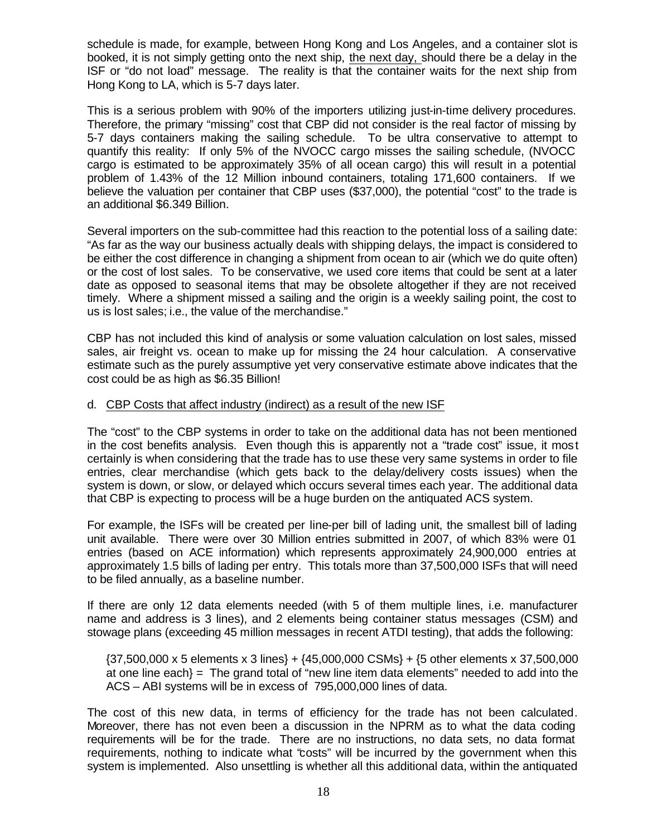schedule is made, for example, between Hong Kong and Los Angeles, and a container slot is booked, it is not simply getting onto the next ship, the next day, should there be a delay in the ISF or "do not load" message. The reality is that the container waits for the next ship from Hong Kong to LA, which is 5-7 days later.

This is a serious problem with 90% of the importers utilizing just-in-time delivery procedures. Therefore, the primary "missing" cost that CBP did not consider is the real factor of missing by 5-7 days containers making the sailing schedule. To be ultra conservative to attempt to quantify this reality: If only 5% of the NVOCC cargo misses the sailing schedule, (NVOCC cargo is estimated to be approximately 35% of all ocean cargo) this will result in a potential problem of 1.43% of the 12 Million inbound containers, totaling 171,600 containers. If we believe the valuation per container that CBP uses (\$37,000), the potential "cost" to the trade is an additional \$6.349 Billion.

Several importers on the sub-committee had this reaction to the potential loss of a sailing date: "As far as the way our business actually deals with shipping delays, the impact is considered to be either the cost difference in changing a shipment from ocean to air (which we do quite often) or the cost of lost sales. To be conservative, we used core items that could be sent at a later date as opposed to seasonal items that may be obsolete altogether if they are not received timely. Where a shipment missed a sailing and the origin is a weekly sailing point, the cost to us is lost sales; i.e., the value of the merchandise."

CBP has not included this kind of analysis or some valuation calculation on lost sales, missed sales, air freight vs. ocean to make up for missing the 24 hour calculation. A conservative estimate such as the purely assumptive yet very conservative estimate above indicates that the cost could be as high as \$6.35 Billion!

#### d. CBP Costs that affect industry (indirect) as a result of the new ISF

The "cost" to the CBP systems in order to take on the additional data has not been mentioned in the cost benefits analysis. Even though this is apparently not a "trade cost" issue, it most certainly is when considering that the trade has to use these very same systems in order to file entries, clear merchandise (which gets back to the delay/delivery costs issues) when the system is down, or slow, or delayed which occurs several times each year. The additional data that CBP is expecting to process will be a huge burden on the antiquated ACS system.

For example, the ISFs will be created per line-per bill of lading unit, the smallest bill of lading unit available. There were over 30 Million entries submitted in 2007, of which 83% were 01 entries (based on ACE information) which represents approximately 24,900,000 entries at approximately 1.5 bills of lading per entry. This totals more than 37,500,000 ISFs that will need to be filed annually, as a baseline number.

If there are only 12 data elements needed (with 5 of them multiple lines, i.e. manufacturer name and address is 3 lines), and 2 elements being container status messages (CSM) and stowage plans (exceeding 45 million messages in recent ATDI testing), that adds the following:

{37,500,000 x 5 elements x 3 lines} + {45,000,000 CSMs} + {5 other elements x 37,500,000 at one line each} = The grand total of "new line item data elements" needed to add into the ACS – ABI systems will be in excess of 795,000,000 lines of data.

The cost of this new data, in terms of efficiency for the trade has not been calculated. Moreover, there has not even been a discussion in the NPRM as to what the data coding requirements will be for the trade. There are no instructions, no data sets, no data format requirements, nothing to indicate what "costs" will be incurred by the government when this system is implemented. Also unsettling is whether all this additional data, within the antiquated